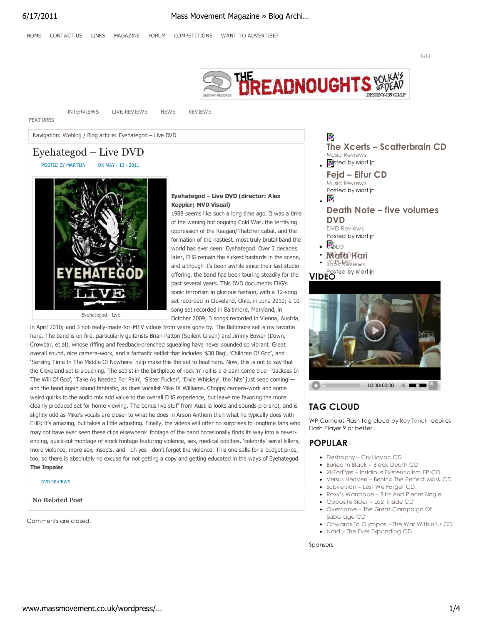**GO**



INTERVIEWS LIVE REVIEWS NEWS REVIEWS

FEATURES

Navigation: Weblog / Blog article: Eyehategod – Live DVD

# Eyehategod – Live DVD

POSTED BY MARTIJN ON MAY - 13 - 2011



#### **Eyehategod – Live DVD (director: Alex Keppler; MVD Visual)**

1988 seems like such a long time ago. It was a time of the waning but ongoing Cold War, the terrifying oppression of the Reagan/Thatcher cabal, and the formation of the nastiest, most truly brutal band the world has ever seen: Eyehategod. Over 2 decades later, EHG remain the sickest bastards in the scene, and although it's been awhile since their last studio offering, the band has been touring steadily for the past several years. This DVD documents EHG's sonic terrorism in glorious fashion, with a 12-song set recorded in Cleveland, Ohio, in June 2010; a 10 song set recorded in Baltimore, Maryland, in October 2009; 3 songs recorded in Vienna, Austria,

in April 2010; and 3 not-really-made-for-MTV videos from years gone by. The Baltimore set is my favorite here. The band is on fire, particularly guitarists Brian Patton (Soilent Green) and Jimmy Bower (Down, Crowbar, et al), whose riffing and feedback-drenched squealing have never sounded so vibrant. Great overall sound, nice camera-work, and a fantastic setlist that includes '\$30 Bag', 'Children Of God', and 'Serving Time In The Middle Of Nowhere' help make this the set to beat here. Now, this is not to say that the Cleveland set is slouching. The setlist in the birthplace of rock 'n' roll is a dream come true—'Jackass In The Will Of God', 'Take As Needed For Pain', 'Sister Fucker', 'Dixie Whiskey', the 'hits' just keep coming! and the band again sound fantastic, as does vocalist Mike IX Williams. Choppy camera-work and some weird quirks to the audio mix add value to the overall EHG experience, but leave me favoring the more cleanly produced set for home viewing. The bonus live stuff from Austria looks and sounds pro-shot, and is slightly odd as Mike's vocals are closer to what he does in Arson Anthem than what he typically does with EHG; it's amazing, but takes a little adjusting. Finally, the videos will offer no surprises to longtime fans who may not have ever seen these clips elsewhere: footage of the band occasionally finds its way into a neverending, quick-cut montage of stock footage featuring violence, sex, medical oddities, 'celebrity' serial killers, more violence, more sex, insects, and—oh yes—don't forget the violence. This one sells for a budget price, too, so there is absolutely no excuse for not getting a copy and getting educated in the ways of Eyehategod. **The Impaler**

#### DVD REVIEWS

**No Related Post**

Comments are closed.



**The Xcerts – Scatterbrain CD**

**Death Note – five volumes**

Music Reviews  $\sqrt{\mathbf{P}}$ sted by Martijn

ζŀ,

**DVD** DVD Reviews Posted by Martijn

 $\cdot$   $\cdot$ 

VIDEO **Medie**PHari

**Fejd – Eifur CD** Music Reviews Posted by Martijn

# **TAG CLOUD**

WP Cumulus Flash tag cloud by Roy Tanck requires Flash Player 9 or better.

# **POPULAR**

- Destrophy Cry Havoc CD
- Buried In Black Black Death CD
- XisForEyes Insidious Existentialism EP CD
- Versus Heaven Behind The Perfect Mask CD
- Subversion Lest We Forget CD
- Roxy's Wardrobe Blitz And Pieces Single
- Opposite Sides Lost Inside CD
- Overcome The Great Campaign Of Sabotage CD
- Onwards To Olympas The War Within Us CD Noïd – The Ever Expanding CD

Sponsors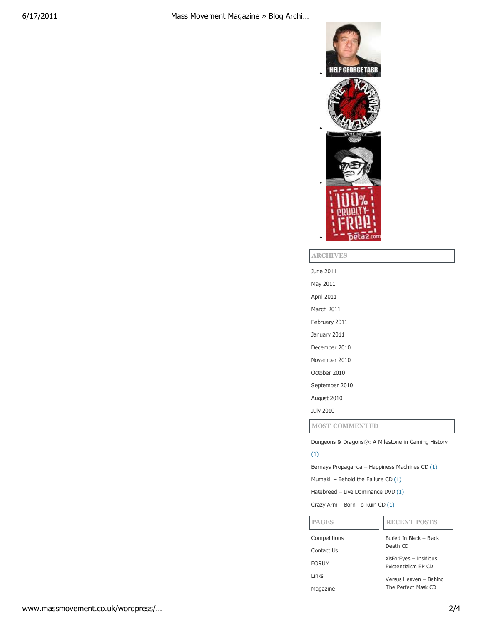

#### **ARCHIVES**

June 2011

May 2011

April 2011 March 2011

February 2011

January 2011

December 2010

- November 2010
- October 2010

September 2010

August 2010

July 2010

**PAGES**

**MOST COMMENTED**

Dungeons & Dragons®: A Milestone in Gaming History

# (1)

Bernays Propaganda – Happiness Machines CD (1)

Mumakil – Behold the Failure CD (1)

Hatebreed – Live Dominance DVD (1)

Crazy Arm – Born To Ruin CD (1)

### **RECENT POSTS**

| Competitions  | Buried In Black - Black<br>Death CD            |
|---------------|------------------------------------------------|
| Contact Us    |                                                |
| <b>FORUM</b>  | XisForEyes - Insidious<br>Existentialism FP CD |
| <b>l</b> inks | Versus Heaven - Behind                         |
| Magazine      | The Perfect Mask CD                            |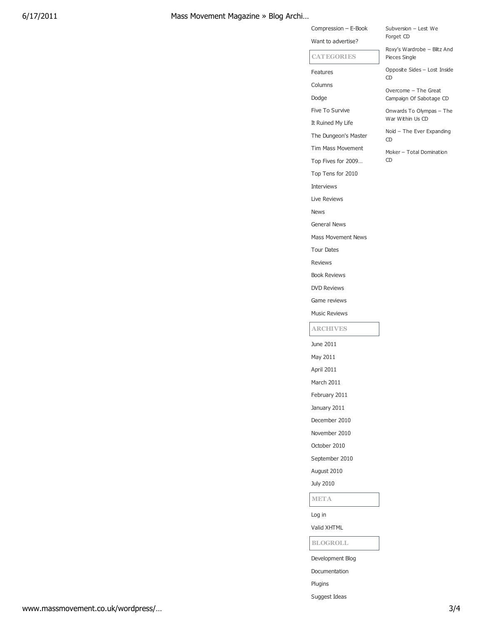# 6/17/2011 Mass Movement Magazine » Blog Archi…

| Subversion – Lest We |  |
|----------------------|--|
| Forget CD            |  |

Compression – E-Book Want to advertise?

**CATEGORIES**

Columns Dodge

Features

Five To Survive It Ruined My Life The Dungeon's Master Tim Mass Movement Top Fives for 2009… Top Tens for 2010

Interviews Live Reviews

News

General News

Tour Dates

Reviews

June 2011 May 2011 April 2011 March 2011 February 2011 January 2011 December 2010 November 2010 October 2010 September 2010 August 2010 July 2010

Log in Valid XHTML

Plugins Suggest Ideas

Development Blog Documentation

**BLOGROLL**

**META**

**ARCHIVES**

Book Reviews DVD Reviews Game reviews Music Reviews

Mass Movement News

Roxy's Wardrobe – Blitz And Pieces Single

Opposite Sides – Lost Inside CD

Overcome – The Great Campaign Of Sabotage CD

Onwards To Olympas – The War Within Us CD

Noïd – The Ever Expanding CD

Moker – Total Domination CD